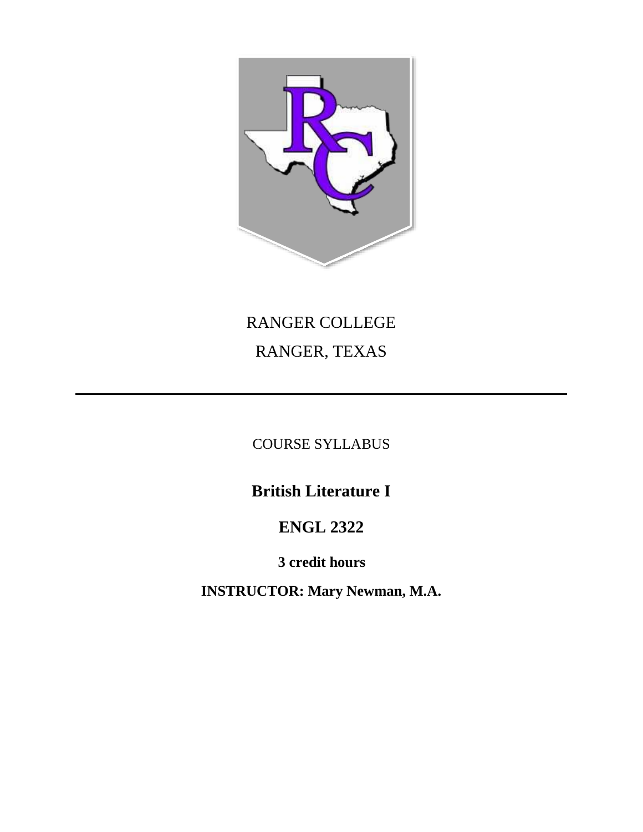

# RANGER COLLEGE RANGER, TEXAS

COURSE SYLLABUS

**British Literature I**

# **ENGL 2322**

**3 credit hours**

**INSTRUCTOR: Mary Newman, M.A.**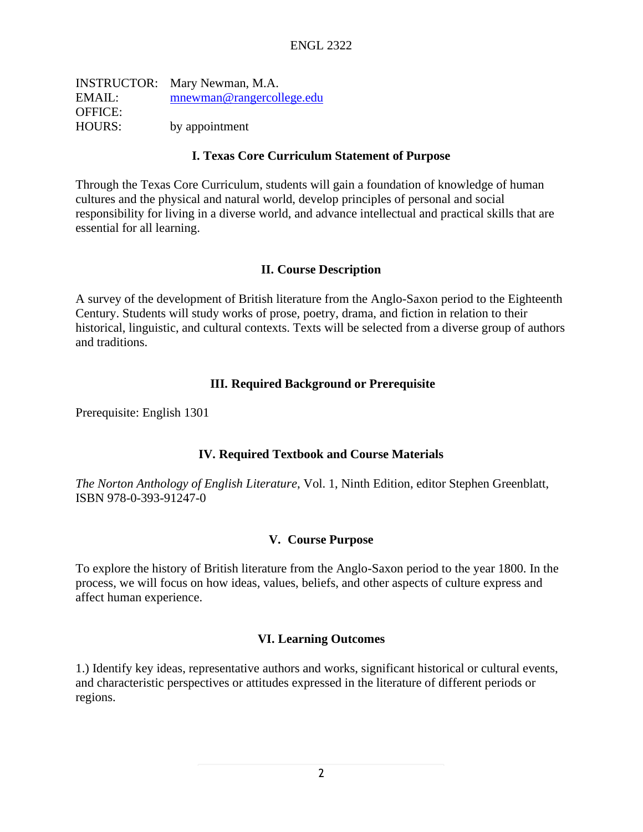|                | <b>INSTRUCTOR:</b> Mary Newman, M.A. |
|----------------|--------------------------------------|
| EMAIL:         | mnewman@rangercollege.edu            |
| <b>OFFICE:</b> |                                      |
| <b>HOURS:</b>  | by appointment                       |

### **I. Texas Core Curriculum Statement of Purpose**

Through the Texas Core Curriculum, students will gain a foundation of knowledge of human cultures and the physical and natural world, develop principles of personal and social responsibility for living in a diverse world, and advance intellectual and practical skills that are essential for all learning.

### **II. Course Description**

A survey of the development of British literature from the Anglo-Saxon period to the Eighteenth Century. Students will study works of prose, poetry, drama, and fiction in relation to their historical, linguistic, and cultural contexts. Texts will be selected from a diverse group of authors and traditions.

### **III. Required Background or Prerequisite**

Prerequisite: English 1301

#### **IV. Required Textbook and Course Materials**

*The Norton Anthology of English Literature*, Vol. 1, Ninth Edition, editor Stephen Greenblatt, ISBN 978-0-393-91247-0

#### **V. Course Purpose**

To explore the history of British literature from the Anglo-Saxon period to the year 1800. In the process, we will focus on how ideas, values, beliefs, and other aspects of culture express and affect human experience.

## **VI. Learning Outcomes**

1.) Identify key ideas, representative authors and works, significant historical or cultural events, and characteristic perspectives or attitudes expressed in the literature of different periods or regions.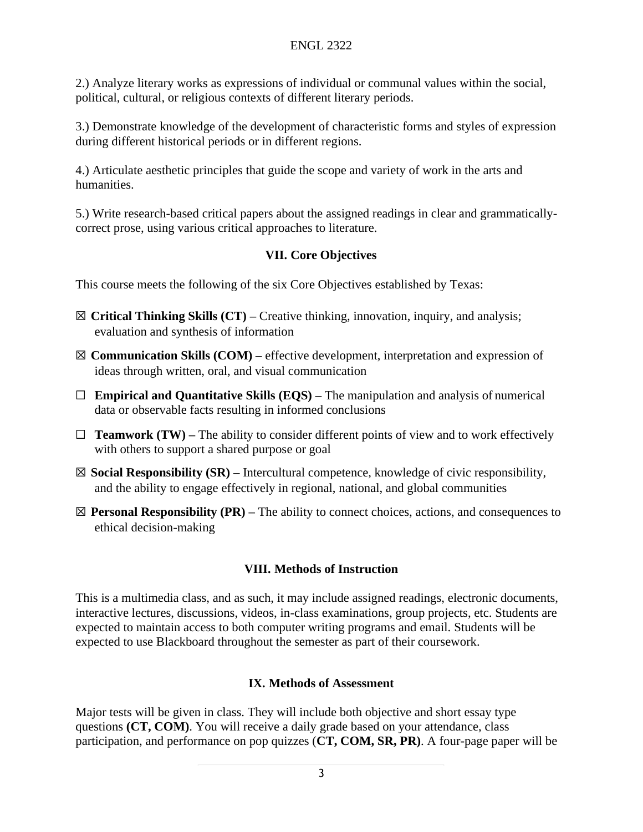2.) Analyze literary works as expressions of individual or communal values within the social, political, cultural, or religious contexts of different literary periods.

3.) Demonstrate knowledge of the development of characteristic forms and styles of expression during different historical periods or in different regions.

4.) Articulate aesthetic principles that guide the scope and variety of work in the arts and humanities.

5.) Write research-based critical papers about the assigned readings in clear and grammaticallycorrect prose, using various critical approaches to literature.

# **VII. Core Objectives**

This course meets the following of the six Core Objectives established by Texas:

- ☒ **Critical Thinking Skills (CT) –** Creative thinking, innovation, inquiry, and analysis; evaluation and synthesis of information
- ☒ **Communication Skills (COM) –** effective development, interpretation and expression of ideas through written, oral, and visual communication
- ☐ **Empirical and Quantitative Skills (EQS) –** The manipulation and analysis of numerical data or observable facts resulting in informed conclusions
- $\Box$  **Teamwork (TW)** The ability to consider different points of view and to work effectively with others to support a shared purpose or goal
- ☒ **Social Responsibility (SR) –** Intercultural competence, knowledge of civic responsibility, and the ability to engage effectively in regional, national, and global communities
- ☒ **Personal Responsibility (PR) –** The ability to connect choices, actions, and consequences to ethical decision-making

# **VIII. Methods of Instruction**

This is a multimedia class, and as such, it may include assigned readings, electronic documents, interactive lectures, discussions, videos, in-class examinations, group projects, etc. Students are expected to maintain access to both computer writing programs and email. Students will be expected to use Blackboard throughout the semester as part of their coursework.

# **IX. Methods of Assessment**

Major tests will be given in class. They will include both objective and short essay type questions **(CT, COM)**. You will receive a daily grade based on your attendance, class participation, and performance on pop quizzes (**CT, COM, SR, PR)**. A four-page paper will be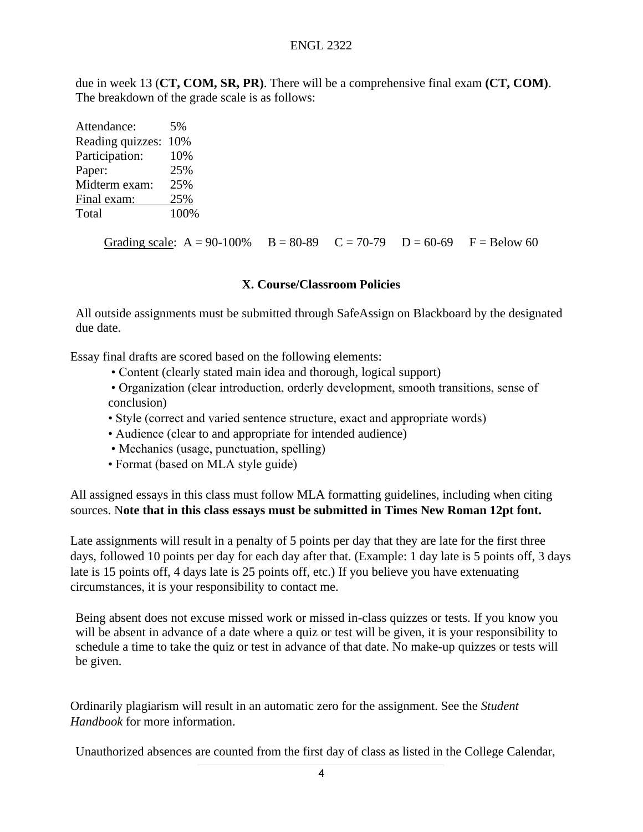due in week 13 (**CT, COM, SR, PR)**. There will be a comprehensive final exam **(CT, COM)**. The breakdown of the grade scale is as follows:

| Attendance:      | 5%   |
|------------------|------|
| Reading quizzes: | 10%  |
| Participation:   | 10%  |
| Paper:           | 25%  |
| Midterm exam:    | 25%  |
| Final exam:      | 25%  |
| Total            | 100% |

Grading scale:  $A = 90-100\%$   $B = 80-89$   $C = 70-79$   $D = 60-69$   $F = Below 60$ 

### **X. Course/Classroom Policies**

All outside assignments must be submitted through SafeAssign on Blackboard by the designated due date.

Essay final drafts are scored based on the following elements:

- Content (clearly stated main idea and thorough, logical support)
- Organization (clear introduction, orderly development, smooth transitions, sense of conclusion)
- Style (correct and varied sentence structure, exact and appropriate words)
- Audience (clear to and appropriate for intended audience)
- Mechanics (usage, punctuation, spelling)
- Format (based on MLA style guide)

All assigned essays in this class must follow MLA formatting guidelines, including when citing sources. N**ote that in this class essays must be submitted in Times New Roman 12pt font.**

Late assignments will result in a penalty of 5 points per day that they are late for the first three days, followed 10 points per day for each day after that. (Example: 1 day late is 5 points off, 3 days late is 15 points off, 4 days late is 25 points off, etc.) If you believe you have extenuating circumstances, it is your responsibility to contact me.

Being absent does not excuse missed work or missed in-class quizzes or tests. If you know you will be absent in advance of a date where a quiz or test will be given, it is your responsibility to schedule a time to take the quiz or test in advance of that date. No make-up quizzes or tests will be given.

Ordinarily plagiarism will result in an automatic zero for the assignment. See the *Student Handbook* for more information.

Unauthorized absences are counted from the first day of class as listed in the College Calendar,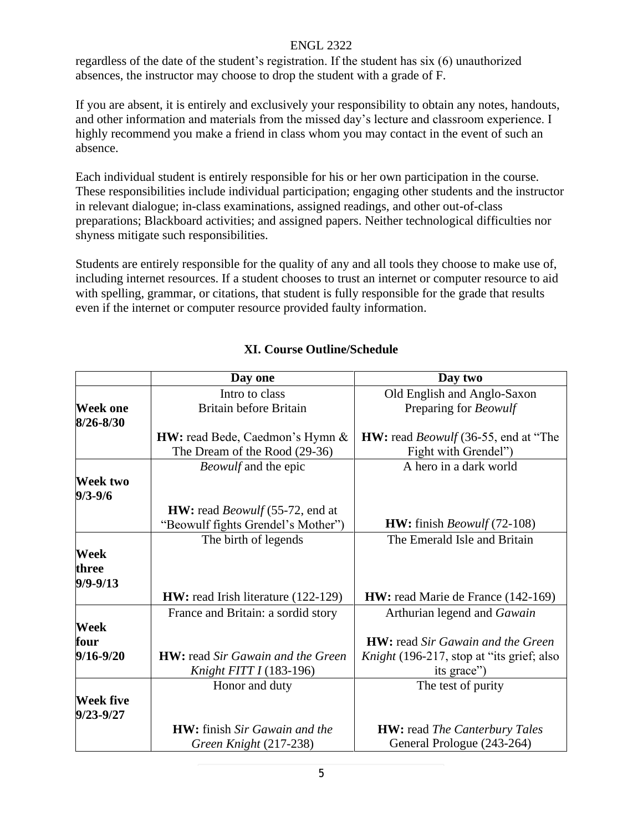### ENGL 2322

regardless of the date of the student's registration. If the student has six (6) unauthorized absences, the instructor may choose to drop the student with a grade of F.

If you are absent, it is entirely and exclusively your responsibility to obtain any notes, handouts, and other information and materials from the missed day's lecture and classroom experience. I highly recommend you make a friend in class whom you may contact in the event of such an absence.

Each individual student is entirely responsible for his or her own participation in the course. These responsibilities include individual participation; engaging other students and the instructor in relevant dialogue; in-class examinations, assigned readings, and other out-of-class preparations; Blackboard activities; and assigned papers. Neither technological difficulties nor shyness mitigate such responsibilities.

Students are entirely responsible for the quality of any and all tools they choose to make use of, including internet resources. If a student chooses to trust an internet or computer resource to aid with spelling, grammar, or citations, that student is fully responsible for the grade that results even if the internet or computer resource provided faulty information.

|                                | Day one                                       | Day two                                            |
|--------------------------------|-----------------------------------------------|----------------------------------------------------|
|                                | Intro to class                                | Old English and Anglo-Saxon                        |
| <b>Week one</b>                | <b>Britain before Britain</b>                 | Preparing for <i>Beowulf</i>                       |
| $8/26 - 8/30$                  |                                               |                                                    |
|                                | <b>HW:</b> read Bede, Caedmon's Hymn &        | <b>HW:</b> read <i>Beowulf</i> (36-55, end at "The |
|                                | The Dream of the Rood (29-36)                 | Fight with Grendel")                               |
|                                | <i>Beowulf</i> and the epic                   | A hero in a dark world                             |
| <b>Week two</b><br>$9/3 - 9/6$ |                                               |                                                    |
|                                | <b>HW:</b> read <i>Beowulf</i> (55-72, end at |                                                    |
|                                | "Beowulf fights Grendel's Mother")            | <b>HW:</b> finish <i>Beowulf</i> $(72-108)$        |
|                                | The birth of legends                          | The Emerald Isle and Britain                       |
| Week                           |                                               |                                                    |
| three                          |                                               |                                                    |
| $9/9 - 9/13$                   |                                               |                                                    |
|                                | <b>HW:</b> read Irish literature (122-129)    | <b>HW:</b> read Marie de France (142-169)          |
|                                | France and Britain: a sordid story            | Arthurian legend and Gawain                        |
| Week                           |                                               |                                                    |
| four                           |                                               | <b>HW</b> : read Sir Gawain and the Green          |
| $9/16 - 9/20$                  | <b>HW</b> : read Sir Gawain and the Green     | Knight (196-217, stop at "its grief; also          |
|                                | Knight FITT I (183-196)                       | its grace")                                        |
|                                | Honor and duty                                | The test of purity                                 |
| Week five<br>9/23-9/27         |                                               |                                                    |
|                                | <b>HW</b> : finish Sir Gawain and the         | <b>HW:</b> read <i>The Canterbury Tales</i>        |
|                                | Green Knight (217-238)                        | General Prologue (243-264)                         |

# **XI. Course Outline/Schedule**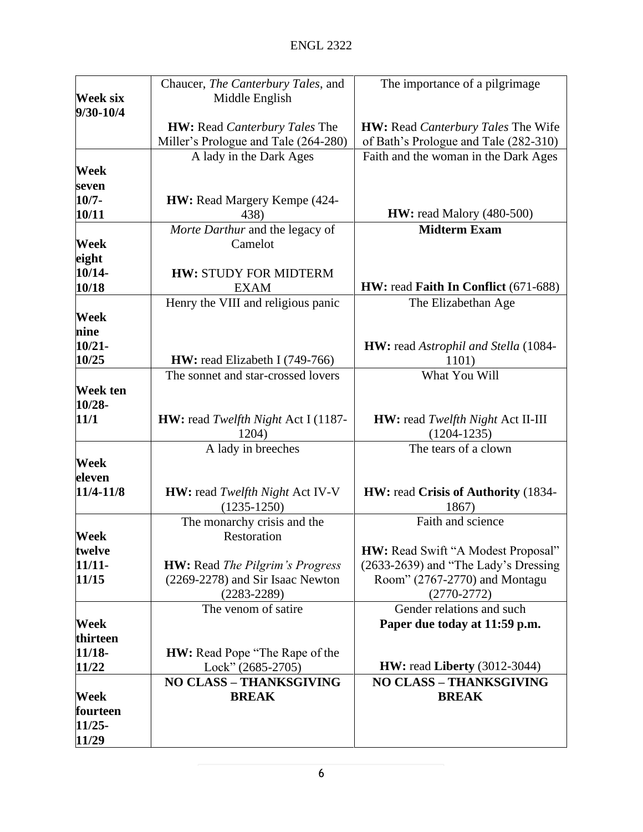|                                   | Chaucer, The Canterbury Tales, and          | The importance of a pilgrimage                   |
|-----------------------------------|---------------------------------------------|--------------------------------------------------|
| <b>Week six</b><br>Middle English |                                             |                                                  |
| 9/30-10/4                         |                                             |                                                  |
|                                   | <b>HW:</b> Read <i>Canterbury Tales</i> The | <b>HW:</b> Read <i>Canterbury Tales</i> The Wife |
|                                   | Miller's Prologue and Tale (264-280)        | of Bath's Prologue and Tale (282-310)            |
|                                   | A lady in the Dark Ages                     | Faith and the woman in the Dark Ages             |
| Week                              |                                             |                                                  |
| seven                             |                                             |                                                  |
| $10/7 -$                          | HW: Read Margery Kempe (424-                |                                                  |
| 10/11                             | 438)                                        | <b>HW:</b> read Malory (480-500)                 |
|                                   | Morte Darthur and the legacy of             | <b>Midterm Exam</b>                              |
| Week                              | Camelot                                     |                                                  |
| eight                             |                                             |                                                  |
| 10/14-                            | <b>HW: STUDY FOR MIDTERM</b>                |                                                  |
|                                   | <b>EXAM</b>                                 | HW: read Faith In Conflict (671-688)             |
| 10/18                             |                                             |                                                  |
|                                   | Henry the VIII and religious panic          | The Elizabethan Age                              |
| Week                              |                                             |                                                  |
| nine                              |                                             |                                                  |
| $10/21 -$                         |                                             | <b>HW:</b> read Astrophil and Stella (1084-      |
| 10/25                             | <b>HW:</b> read Elizabeth I $(749-766)$     | 1101)                                            |
|                                   | The sonnet and star-crossed lovers          | What You Will                                    |
| Week ten                          |                                             |                                                  |
| 10/28-                            |                                             |                                                  |
| 11/1                              | HW: read Twelfth Night Act I (1187-         | <b>HW:</b> read Twelfth Night Act II-III         |
|                                   | 1204)                                       | $(1204 - 1235)$                                  |
|                                   | A lady in breeches                          | The tears of a clown                             |
| Week                              |                                             |                                                  |
| eleven                            |                                             |                                                  |
| 11/4-11/8                         | <b>HW:</b> read Twelfth Night Act IV-V      | HW: read Crisis of Authority (1834-              |
|                                   | $(1235 - 1250)$                             | 1867)                                            |
|                                   | The monarchy crisis and the                 | Faith and science                                |
| Week                              | Restoration                                 |                                                  |
| twelve                            |                                             | HW: Read Swift "A Modest Proposal"               |
| $11/11-$                          | <b>HW:</b> Read The Pilgrim's Progress      | (2633-2639) and "The Lady's Dressing             |
| 11/15                             | (2269-2278) and Sir Isaac Newton            | Room" (2767-2770) and Montagu                    |
|                                   | $(2283 - 2289)$                             | $(2770-2772)$                                    |
|                                   | The venom of satire                         | Gender relations and such                        |
| Week                              |                                             | Paper due today at 11:59 p.m.                    |
| thirteen                          |                                             |                                                  |
| $11/18-$                          | <b>HW:</b> Read Pope "The Rape of the       |                                                  |
| 11/22                             | Lock" (2685-2705)                           | <b>HW:</b> read <b>Liberty</b> (3012-3044)       |
|                                   | <b>NO CLASS - THANKSGIVING</b>              | <b>NO CLASS - THANKSGIVING</b>                   |
| Week                              | <b>BREAK</b>                                | <b>BREAK</b>                                     |
| fourteen                          |                                             |                                                  |
| $11/25 -$                         |                                             |                                                  |
| 11/29                             |                                             |                                                  |